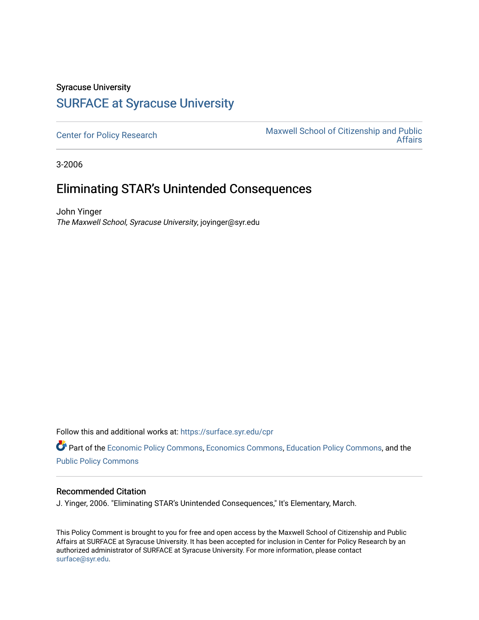## Syracuse University [SURFACE at Syracuse University](https://surface.syr.edu/)

[Center for Policy Research](https://surface.syr.edu/cpr) Maxwell School of Citizenship and Public [Affairs](https://surface.syr.edu/maxwell) 

3-2006

## Eliminating STAR's Unintended Consequences

John Yinger The Maxwell School, Syracuse University, joyinger@syr.edu

Follow this and additional works at: [https://surface.syr.edu/cpr](https://surface.syr.edu/cpr?utm_source=surface.syr.edu%2Fcpr%2F317&utm_medium=PDF&utm_campaign=PDFCoverPages) 

Part of the [Economic Policy Commons](http://network.bepress.com/hgg/discipline/1025?utm_source=surface.syr.edu%2Fcpr%2F317&utm_medium=PDF&utm_campaign=PDFCoverPages), [Economics Commons,](http://network.bepress.com/hgg/discipline/340?utm_source=surface.syr.edu%2Fcpr%2F317&utm_medium=PDF&utm_campaign=PDFCoverPages) [Education Policy Commons](http://network.bepress.com/hgg/discipline/1026?utm_source=surface.syr.edu%2Fcpr%2F317&utm_medium=PDF&utm_campaign=PDFCoverPages), and the [Public Policy Commons](http://network.bepress.com/hgg/discipline/400?utm_source=surface.syr.edu%2Fcpr%2F317&utm_medium=PDF&utm_campaign=PDFCoverPages)

## Recommended Citation

J. Yinger, 2006. "Eliminating STAR's Unintended Consequences," It's Elementary, March.

This Policy Comment is brought to you for free and open access by the Maxwell School of Citizenship and Public Affairs at SURFACE at Syracuse University. It has been accepted for inclusion in Center for Policy Research by an authorized administrator of SURFACE at Syracuse University. For more information, please contact [surface@syr.edu.](mailto:surface@syr.edu)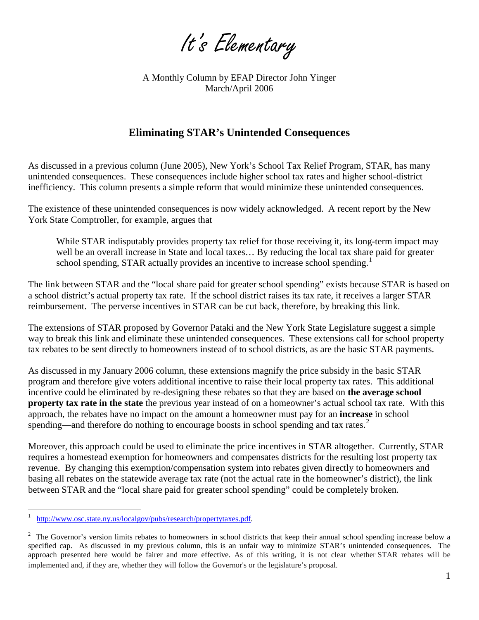It's Elementary

A Monthly Column by EFAP Director John Yinger March/April 2006

## **Eliminating STAR's Unintended Consequences**

As discussed in a previous column (June 2005), New York's School Tax Relief Program, STAR, has many unintended consequences. These consequences include higher school tax rates and higher school-district inefficiency. This column presents a simple reform that would minimize these unintended consequences.

The existence of these unintended consequences is now widely acknowledged. A recent report by the New York State Comptroller, for example, argues that

While STAR indisputably provides property tax relief for those receiving it, its long-term impact may well be an overall increase in State and local taxes… By reducing the local tax share paid for greater school spending, STAR actually provides an incentive to increase school spending.<sup>[1](#page-2-0)</sup>

The link between STAR and the "local share paid for greater school spending" exists because STAR is based on a school district's actual property tax rate. If the school district raises its tax rate, it receives a larger STAR reimbursement. The perverse incentives in STAR can be cut back, therefore, by breaking this link.

The extensions of STAR proposed by Governor Pataki and the New York State Legislature suggest a simple way to break this link and eliminate these unintended consequences. These extensions call for school property tax rebates to be sent directly to homeowners instead of to school districts, as are the basic STAR payments.

As discussed in my January 2006 column, these extensions magnify the price subsidy in the basic STAR program and therefore give voters additional incentive to raise their local property tax rates. This additional incentive could be eliminated by re-designing these rebates so that they are based on **the average school property tax rate in the state** the previous year instead of on a homeowner's actual school tax rate. With this approach, the rebates have no impact on the amount a homeowner must pay for an **increase** in school spending—and therefore do nothing to encourage boosts in school spending and tax rates.<sup>[2](#page-1-0)</sup>

Moreover, this approach could be used to eliminate the price incentives in STAR altogether. Currently, STAR requires a homestead exemption for homeowners and compensates districts for the resulting lost property tax revenue. By changing this exemption/compensation system into rebates given directly to homeowners and basing all rebates on the statewide average tax rate (not the actual rate in the homeowner's district), the link between STAR and the "local share paid for greater school spending" could be completely broken.

 $\overline{a}$ 

<sup>1</sup> [http://www.osc.state.ny.us/localgov/pubs/research/propertytaxes.pdf.](http://www.osc.state.ny.us/localgov/pubs/research/propertytaxes.pdf)

<span id="page-1-0"></span> $2<sup>2</sup>$  The Governor's version limits rebates to homeowners in school districts that keep their annual school spending increase below a specified cap. As discussed in my previous column, this is an unfair way to minimize STAR's unintended consequences. The approach presented here would be fairer and more effective. As of this writing, it is not clear whether STAR rebates will be implemented and, if they are, whether they will follow the Governor's or the legislature's proposal.